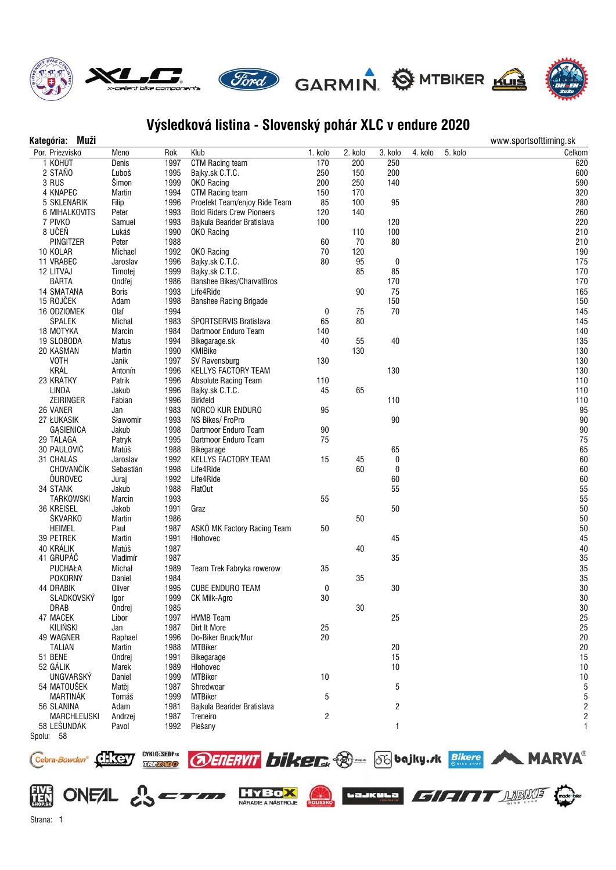

## **Výsledková listina - Slovenský pohár XLC v endure 2020**

| Kategória: Muži                    |             |      |                                  |         |         |                  |         |         | www.sportsofttiming.sk |
|------------------------------------|-------------|------|----------------------------------|---------|---------|------------------|---------|---------|------------------------|
| Por. Priezvisko                    | Meno        | Rok  | Klub                             | 1. kolo | 2. kolo | 3. kolo          | 4. kolo | 5. kolo | Celkom                 |
| 1 KOHÚT                            | Denis       | 1997 | CTM Racing team                  | 170     | 200     | 250              |         |         | 620                    |
| 2 STAŇO                            | Ľuboš       | 1995 | Bajky.sk C.T.C.                  | 250     | 150     | 200              |         |         | 600                    |
| 3 RUS                              | Šimon       | 1999 | OKO Racing                       | 200     | 250     | 140              |         |         | 590                    |
| 4 KNAPEC                           | Martin      | 1994 | <b>CTM Racing team</b>           | 150     | 170     |                  |         |         | 320                    |
| 5 SKLENÁRIK                        | Filip       | 1996 | Proefekt Team/enjoy Ride Team    | 85      | 100     | 95               |         |         | 280                    |
| 6 MIHALKOVITS                      | Peter       | 1993 | <b>Bold Riders Crew Pioneers</b> | 120     | 140     |                  |         |         | 260                    |
| 7 PIVKO                            | Samuel      | 1993 | Bajkula Bearider Bratislava      | 100     |         | 120              |         |         | 220                    |
| 8 UČEŇ                             | Lukáš       | 1990 | OKO Racing                       |         | 110     | 100              |         |         | 210                    |
| PINGITZER                          | Peter       | 1988 |                                  | 60      | 70      | 80               |         |         | 210                    |
| 10 KOLAR                           | Michael     | 1992 | OKO Racing                       | $70\,$  | 120     |                  |         |         | 190                    |
| 11 VRABEC                          | Jaroslav    | 1996 | Bajky.sk C.T.C.                  | 80      | 95      | $\boldsymbol{0}$ |         |         | 175                    |
| 12 LITVAJ                          | Timotej     | 1999 | Bajky.sk C.T.C.                  |         | 85      | 85               |         |         | 170                    |
| <b>BÁRTA</b>                       | Ondřej      | 1986 | <b>Banshee Bikes/CharvatBros</b> |         |         | 170              |         |         | 170                    |
| <b>14 SMATANA</b>                  | Boris       | 1993 | Life4Ride                        |         | 90      | 75               |         |         | 165                    |
| 15 ROJČEK                          | Adam        | 1998 | <b>Banshee Racing Brigade</b>    |         |         | 150              |         |         | 150                    |
| 16 ODZIOMEK                        | <b>Olaf</b> | 1994 |                                  | 0       | 75      | 70               |         |         | 145                    |
| <b>ŠPALEK</b>                      | Michal      | 1983 | ŠPORTSERVIS Bratislava           | 65      | 80      |                  |         |         | 145                    |
| 18 MOTYKA                          | Marcin      | 1984 | Dartmoor Enduro Team             | 140     |         |                  |         |         | 140                    |
| 19 SLOBODA                         | Matus       | 1994 | Bikegarage.sk                    | 40      | 55      | 40               |         |         | 135                    |
| 20 KASMAN                          | Martin      | 1990 | KMIBike                          |         | 130     |                  |         |         | 130                    |
| <b>VOTH</b>                        | Janik       | 1997 | SV Ravensburg                    | 130     |         |                  |         |         | 130                    |
| KRÁL                               | Antonín     | 1996 | <b>KELLYS FACTORY TEAM</b>       |         |         | 130              |         |         | 130                    |
| 23 KRÁTKY                          | Patrik      | 1996 | Absolute Racing Team             | 110     |         |                  |         |         | 110                    |
| <b>LINDA</b>                       | Jakub       | 1996 | Bajky.sk C.T.C.                  | 45      | 65      |                  |         |         | 110                    |
| ZEIRINGER                          | Fabian      | 1996 | Birkfeld                         |         |         | 110              |         |         | 110                    |
| 26 VANER                           | Jan         | 1983 | NORCO KUR ENDURO                 | 95      |         |                  |         |         | 95                     |
| 27 ŁUKASIK                         | Sławomir    | 1993 | NS Bikes/FroPro                  |         |         | 90               |         |         | 90                     |
| <b>GASIENICA</b>                   | Jakub       | 1998 | Dartmoor Enduro Team             | $90\,$  |         |                  |         |         | 90                     |
| 29 TALAGA                          | Patryk      | 1995 | Dartmoor Enduro Team             | 75      |         |                  |         |         | 75                     |
| 30 PAULOVIČ                        | Matúš       | 1988 | Bikegarage                       |         |         | 65               |         |         | 65                     |
| 31 CHALÁS                          | Jaroslav    | 1992 | KELLYS FACTORY TEAM              | 15      | 45      | $\bf{0}$         |         |         | 60                     |
| CHOVANČÍK                          | Sebastián   | 1998 | Life4Ride                        |         | 60      | $\bf{0}$         |         |         | 60                     |
| ĎUROVEC                            | Juraj       | 1992 | Life4Ride                        |         |         | 60               |         |         | 60                     |
| 34 STANK                           | Jakub       | 1988 | <b>FlatOut</b>                   |         |         | 55               |         |         | 55                     |
| <b>TARKOWSKI</b>                   | Marcin      | 1993 |                                  | 55      |         |                  |         |         | 55                     |
| 36 KREISEL                         | Jakob       | 1991 | Graz                             |         |         | 50               |         |         | 50                     |
| <b>ŠKVARKO</b>                     | Martin      | 1986 |                                  |         | 50      |                  |         |         | 50                     |
| <b>HEIMEL</b>                      | Paul        | 1987 | ASKÖ MK Factory Racing Team      | 50      |         |                  |         |         | 50                     |
| 39 PETREK                          | Martin      | 1991 | Hlohovec                         |         |         | 45               |         |         | 45                     |
| 40 KRÁLIK                          | Matúš       | 1987 |                                  |         | 40      |                  |         |         | 40                     |
| 41 GRUPÁČ                          | Vladimír    | 1987 |                                  |         |         | 35               |         |         | 35                     |
| PUCHAŁA                            | Michał      | 1989 | Team Trek Fabryka rowerow        | 35      |         |                  |         |         | 35                     |
| <b>POKORNÝ</b>                     | Daniel      | 1984 |                                  |         | 35      |                  |         |         | 35                     |
| <b>44 DRABIK</b>                   | Oliver      | 1995 | <b>CUBE ENDURO TEAM</b>          | 0       |         | 30               |         |         | 30                     |
| <b>SLADKOVSKÝ</b>                  | Igor        | 1999 | CK Milk-Agro                     | 30      |         |                  |         |         | 30                     |
| DRAB                               | Ondrej      | 1985 |                                  |         | $30\,$  |                  |         |         | 30                     |
| 47 MACEK                           | Libor       | 1997 | <b>HVMB</b> Team                 |         |         | 25               |         |         | 25                     |
| <b>KILIŃSKI</b>                    | Jan         | 1987 | Dirt It More                     | 25      |         |                  |         |         | 25                     |
| 49 WAGNER                          | Raphael     | 1996 | Do-Biker Bruck/Mur               | 20      |         |                  |         |         | 20                     |
| <b>TALIAN</b>                      | Martin      | 1988 | <b>MTBiker</b>                   |         |         | 20               |         |         | 20                     |
| 51 BENE                            | Ondrej      | 1991 | Bikegarage                       |         |         | 15               |         |         | 15                     |
| 52 GÁLIK                           | Marek       | 1989 | Hlohovec                         |         |         | 10               |         |         | 10                     |
| UNGVARSKÝ                          | Daniel      | 1999 | <b>MTBiker</b>                   | 10      |         |                  |         |         | 10                     |
| 54 MATOUŠEK                        | Matěj       | 1987 | Shredwear                        |         |         | 5                |         |         | 5                      |
| MARTINÁK                           | Tomáš       | 1999 | <b>MTBiker</b>                   | 5       |         |                  |         |         | 5                      |
| 56 SLANINA                         | Adam        | 1981 | Bajkula Bearider Bratislava      |         |         | 2                |         |         | 2                      |
| <b>MARCHLEIJSKI</b><br>58 LEŠUNDÁK | Andrzej     | 1987 | Treneiro                         | 2       |         |                  |         |         | 2                      |
|                                    | Pavol       | 1992 | Piešany                          |         |         | 1                |         |         | 1                      |
| Spolu: 58                          |             |      |                                  |         |         |                  |         |         |                        |

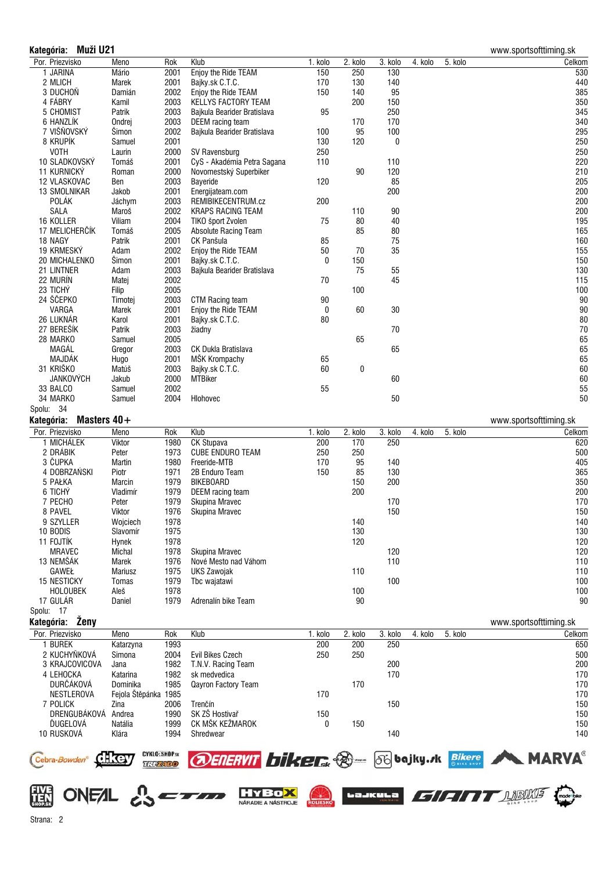## **Kategória: Muži U21** www.sportsofttiming.sk Por. Priezvisko Meno Rok Klub 1. kolo 2. kolo 3. kolo 4. kolo 5. kolo Celkom 1 JARINA Mário 2001 Enjoy the Ride TEAM 150 250 130 530 2 MLICH Marek 2001 Bajky.sk C.T.C. 170 130 140 440 3 DUCHOÒ Damián 2002 Enjoy the Ride TEAM 150 140 95 385 4 FÁBRY Kamil 2003 KELLYS FACTORY TEAM 200 150 350 5 CHOMIST Patrik 2003 Bajkula Bearider Bratislava 95 250 345 6 HANZLÍK Ondrej 2003 DEEM racing team 170 170 340 7 VIŠÒOVSKÝ Šimon 2002 Bajkula Bearider Bratislava 100 95 100 295 8 KRUPÍK Samuel 2001 130 120 0 250 VOTH Laurin 2000 SV Ravensburg 250 250 10 SLADKOVSKÝ Tomáš 2001 CyS - Akadémia Petra Sagana 110 110 220 11 KURNICKÝ Roman 2000 Novomestský Superbiker 90 120 210 12 VLASKOVAC Ben 2003 Bayeride 120 85 205 13 SMOLNIKAR Jakob 2001 Energijateam.com 200 200 POLÁK Jáchym 2003 REMIBIKECENTRUM.cz 200 200 SALA Maroš 2002 KRAPS RACING TEAM 110 90<br>16 KOLLER Viliam 2004 TIKO šport Zvolen 75 80 40 16 KOLLER Viliam 2004 TIKO šport Zvolen 75 80 40 195 17 MELICHERÈÍK Tomáš 2005 Absolute Racing Team 85 80 165 18 NAGY Patrik 2001 CK Panšula 85 75 160 19 KRMESKÝ Adam 2002 Enjoy the Ride TEAM 50 70 35 155 155 20 MICHALENKO Šimon 2001 Bajky.sk C.T.C. 0 150 150 21 LINTNER Adam 2003 Baikula Bearider Bratislava 75 55 75 130 22 MURÍN Matej 2002 70 45 115 23 TICHÝ Filip 2005 100 100 24 ŠČEPKO Timotej 2003 CTM Racing team 90<br>190 VARGA Marek 2001 Enjoy the Ride TEAM 0 60 30 Marek 2001 Enjoy the Ride TEAM 26 LUKNÁR Karol 2001 Bajky.sk C.T.C. 80 80 27 BEREŠÍK Patrik 2003 žiadny 70 70 28 MARKO Samuel 2005 65 65 MAGÁL Gregor 2003 CK Dukla Bratislava 65 65 MAJDÁK Hugo 2001 MŠK Krompachy 65 65 31 KRIŠKO Matúš 2003 Bajky.sk C.T.C. 60 0 60 JANKOVÝCH Jakub 2000 MTBiker 60 60 33 BALCO Samuel 2002 55 55 34 MARKO Samuel 2004 Hlohovec 50 50 Spolu: 34 **Kategória: Masters 40+** www.sportsofttiming.sk Por. Priezvisko Meno Rok Klub 1. kolo 2. kolo 3. kolo 4. kolo 5. kolo Celkom 1 MICHÁLEK Viktor 1980 CK Stupava 200 170 250 620 2 DRÁBIK Peter 1973 CUBE ENDURO TEAM 250 250 500 3 ÈUPKA Martin 1980 Freeride-MTB 170 95 140 405 4 DOBRZAÑSKI Piotr 1971 2B Enduro Team 150 85 130 365 5 PA£KA Marcin 1979 BIKEBOARD 150 200 350 6 TICHÝ Vladimír 1979 DEEM racing team 200 200 7 PECHO Peter 1979 Skupina Mravec 170 170 8 PAVEL Viktor 1976 Skupina Mravec 150 150 9 SZYLLER Wojciech 1978 140 140 10 BODIS Slavomír 1975 130 130 11 FOJTÍK Hynek 1978 120 120 MRAVEC Michal 1978 Skupina Mravec 120 120 13 NEMŠÁK Marek 1976 Nové Mesto nad Váhom 110 110 GAWE£ Mariusz 1975 UKS Zawojak 110 110 15 NESTICKY Tomas 1979 Tbc wajatawi 100 100 HOLOUBEK Aleš 1978 100 100 17 GULÁR Daniel 1979 Adrenalín bike Team 90 90 Spolu: 17 **Kategória: Ženy** www.sportsofttiming.sk Por. Priezvisko Meno Rok Klub 1. kolo 2. kolo 3. kolo 4. kolo 5. kolo Celkom 1 BUREK Katarzyna 1993 200 200 250 650 2 KUCHYÒKOVÁ Simona 2004 Evil Bikes Czech 250 250 500 3 KRAJCOVICOVA Jana 1982 T.N.V. Racing Team 200 200 4 LEHOCKA Katarina 1982 sk medvedica 170 170 DURÈÁKOVÁ Dominika 1985 Qayron Factory Team 170 170 NESTLEROVA FEJOLA Štěpánka 1985 170 prostopní stave do 170 nebo stave v roku 170 nebo stave v roku 170 nebo stave v roku 170 nebo stave v roku 170 nebo stave v roku 170 nebo stave v roku 170 nebo stave v roku 170 nebo stav



NÁBADIE A NÁSTRO JE

7 POLICK Zina 2006 Trenèín 150 150 DRENGUBÁKOVÁ Andrea 1990 SK ZŠ Hostivaø 150 150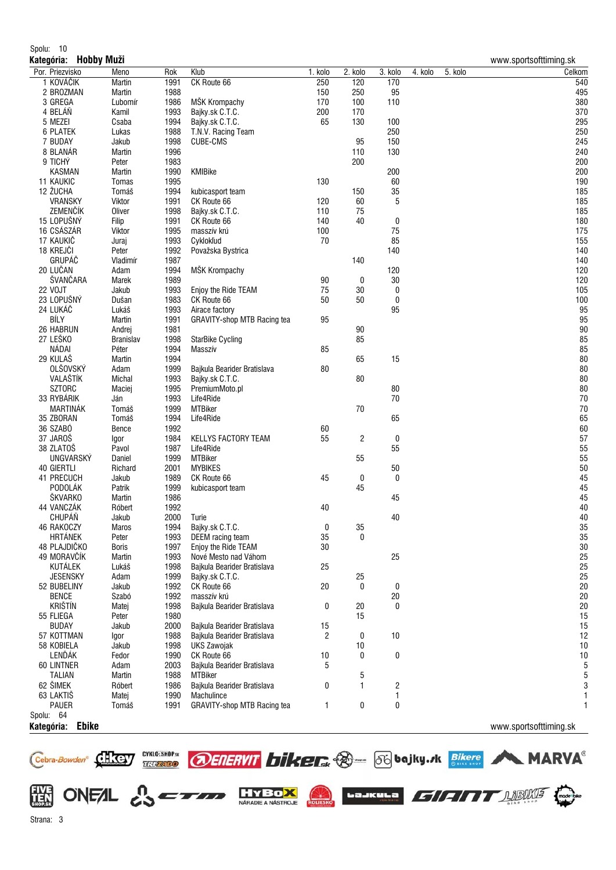## Spolu: 10

| Kategória: Hobby Muži       |                  |              |                                                |         |                  |                  |         |         | www.sportsofttiming.sk |
|-----------------------------|------------------|--------------|------------------------------------------------|---------|------------------|------------------|---------|---------|------------------------|
| Por. Priezvisko             | Meno             | Rok          | Klub                                           | 1. kolo | 2. kolo          | 3. kolo          | 4. kolo | 5. kolo | Celkom                 |
| 1 KOVÁČIK                   | Martin           | 1991         | CK Route 66                                    | 250     | 120              | 170              |         |         | 540                    |
| 2 BROZMAN                   | Martin           | 1988         |                                                | 150     | 250              | 95               |         |         | 495                    |
| 3 GREGA                     | Ľubomír          | 1986         | MŠK Krompachy                                  | 170     | 100              | 110              |         |         | 380                    |
| 4 BELÁŇ                     | Kamil            | 1993         | Bajky.sk C.T.C.                                | 200     | 170              |                  |         |         | 370                    |
| 5 MEZEI                     | Csaba            | 1994         | Bajky.sk C.T.C.                                | 65      | 130              | 100              |         |         | 295                    |
| <b>6 PLATEK</b>             | Lukas            | 1988         | T.N.V. Racing Team                             |         |                  | 250              |         |         | 250                    |
| 7 BUDAY<br>8 BLANÁR         | Jakub            | 1998<br>1996 | <b>CUBE-CMS</b>                                |         | 95<br>110        | 150              |         |         | 245<br>240             |
| 9 TICHÝ                     | Martin<br>Peter  | 1983         |                                                |         | 200              | 130              |         |         | 200                    |
| <b>KASMAN</b>               | Martin           | 1990         | KMIBike                                        |         |                  | 200              |         |         | 200                    |
| <b>11 KAUKIC</b>            | Tomas            | 1995         |                                                | 130     |                  | 60               |         |         | 190                    |
| 12 ŽUCHA                    | Tomáš            | 1994         | kubicasport team                               |         | 150              | 35               |         |         | 185                    |
| <b>VRANSKY</b>              | Viktor           | 1991         | CK Route 66                                    | 120     | 60               | 5                |         |         | 185                    |
| ZEMENČÍK                    | Oliver           | 1998         | Bajky.sk C.T.C.                                | 110     | 75               |                  |         |         | 185                    |
| 15 LOPUŠNÝ                  | Filip            | 1991         | CK Route 66                                    | 140     | 40               | 0                |         |         | 180                    |
| 16 CSÁSZÁR                  | Viktor           | 1995         | masszív krú                                    | 100     |                  | 75               |         |         | 175                    |
| 17 KAUKIČ                   | Juraj            | 1993         | Cyklokľud                                      | 70      |                  | 85               |         |         | 155                    |
| 18 KREJČI                   | Peter            | 1992         | Považska Bystrica                              |         |                  | 140              |         |         | 140                    |
| GRUPÁČ                      | Vladimír         | 1987         |                                                |         | 140              |                  |         |         | 140                    |
| 20 LUČAN                    | Adam             | 1994         | MŠK Krompachy                                  |         |                  | 120              |         |         | 120                    |
| ŠVANČARA                    | Marek            | 1989         |                                                | 90      | 0                | 30               |         |         | 120                    |
| <b>22 VOJT</b>              | Jakub            | 1993         | Enjoy the Ride TEAM                            | 75      | 30               | 0                |         |         | 105                    |
| 23 LOPUŠNÝ                  | Dušan            | 1983         | CK Route 66                                    | 50      | 50               | 0                |         |         | 100                    |
| 24 LUKÁČ                    | Lukáš            | 1993         | Airace factory                                 |         |                  | 95               |         |         | 95                     |
| BÍLY                        | Martin           | 1991         | GRAVITY-shop MTB Racing tea                    | 95      |                  |                  |         |         | 95                     |
| 26 HABRUN                   | Andrej           | 1981         |                                                |         | $90\,$           |                  |         |         | 90                     |
| 27 LEŠKO                    | <b>Branislav</b> | 1998         | <b>StarBike Cycling</b>                        |         | 85               |                  |         |         | 85                     |
| NÁDAI                       | Péter            | 1994         | Masszív                                        | 85      |                  |                  |         |         | 85                     |
| 29 KULAŠ<br><b>OLŠOVSKÝ</b> | Martin<br>Adam   | 1994<br>1999 |                                                |         | 65               | 15               |         |         | 80<br>80               |
| VALAŠTÍK                    | Michal           |              | Bajkula Bearider Bratislava                    | 80      |                  |                  |         |         | 80                     |
| <b>SZTORC</b>               | Maciej           | 1993<br>1995 | Bajky.sk C.T.C.<br>PremiumMoto.pl              |         | $80\,$           | 80               |         |         | 80                     |
| 33 RYBÁRIK                  | Ján              | 1993         | Life4Ride                                      |         |                  | 70               |         |         | 70                     |
| MARTINÁK                    | Tomáš            | 1999         | <b>MTBiker</b>                                 |         | 70               |                  |         |         | 70                     |
| 35 ZBORAN                   | Tomáš            | 1994         | Life4Ride                                      |         |                  | 65               |         |         | 65                     |
| 36 SZABÓ                    | Bence            | 1992         |                                                | 60      |                  |                  |         |         | 60                     |
| 37 JAROŠ                    | lgor             | 1984         | KELLYS FACTORY TEAM                            | 55      | 2                | $\boldsymbol{0}$ |         |         | 57                     |
| 38 ZLATOŠ                   | Pavol            | 1987         | Life4Ride                                      |         |                  | 55               |         |         | 55                     |
| UNGVARSKÝ                   | Daniel           | 1999         | <b>MTBiker</b>                                 |         | 55               |                  |         |         | 55                     |
| <b>40 GIERTLI</b>           | Richard          | 2001         | <b>MYBIKES</b>                                 |         |                  | 50               |         |         | 50                     |
| 41 PRECUCH                  | Jakub            | 1989         | CK Route 66                                    | 45      | $\boldsymbol{0}$ | 0                |         |         | 45                     |
| <b>PODOLÁK</b>              | Patrik           | 1999         | kubicasport team                               |         | 45               |                  |         |         | 45                     |
| ŠKVARKO                     | Martin           | 1986         |                                                |         |                  | 45               |         |         | 45                     |
| 44 VANCZAK                  | Róbert           | 1992         |                                                | 40      |                  |                  |         |         | 40                     |
| CHUPÁŇ                      | Jakub            | 2000         | Turie                                          |         |                  | $40\,$           |         |         | $40\,$                 |
| 46 RAKOCZY                  | Maros            | 1994         | Bajky.sk C.T.C.                                | 0       | 35               |                  |         |         | 35                     |
| <b>HRTÁNEK</b>              | Peter            | 1993         | DEEM racing team                               | 35      | $\bf{0}$         |                  |         |         | 35                     |
| 48 PLAJDIČKO                | <b>Boris</b>     | 1997         | Enjoy the Ride TEAM                            | 30      |                  |                  |         |         | $30\,$                 |
| 49 MORAVČÍK                 | Martin           | 1993         | Nové Mesto nad Váhom                           |         |                  | 25               |         |         | 25<br>25               |
| KUTÁLEK<br><b>JESENSKY</b>  | Lukáš            | 1998         | Bajkula Bearider Bratislava<br>Bajky.sk C.T.C. | 25      |                  |                  |         |         | 25                     |
| 52 BUBELINY                 | Adam<br>Jakub    | 1999<br>1992 | CK Route 66                                    | 20      | 25<br>0          | 0                |         |         | 20                     |
| <b>BENCE</b>                | Szabó            | 1992         | masszív krú                                    |         |                  | $20\,$           |         |         | 20                     |
| <b>KRIŠTÍN</b>              | Matej            | 1998         | Bajkula Bearider Bratislava                    | 0       | 20               | 0                |         |         | 20                     |
| 55 FLIEGA                   | Peter            | 1980         |                                                |         | 15               |                  |         |         | 15                     |
| <b>BUDAY</b>                | Jakub            | 2000         | Bajkula Bearider Bratislava                    | 15      |                  |                  |         |         | 15                     |
| 57 KOTTMAN                  | Igor             | 1988         | Bajkula Bearider Bratislava                    | 2       | $\boldsymbol{0}$ | 10               |         |         | 12                     |
| 58 KOBIELA                  | Jakub            | 1998         | <b>UKS Zawojak</b>                             |         | 10               |                  |         |         | 10                     |
| LENĎÁK                      | Fedor            | 1990         | CK Route 66                                    | 10      | 0                | 0                |         |         | 10                     |
| 60 LINTNER                  | Adam             | 2003         | Bajkula Bearider Bratislava                    | 5       |                  |                  |         |         | $\sqrt{5}$             |
| <b>TALIAN</b>               | Martin           | 1988         | <b>MTBiker</b>                                 |         | 5                |                  |         |         | 5                      |
| 62 ŠIMEK                    | Róbert           | 1986         | Bajkula Bearider Bratislava                    | 0       | 1                | $\sqrt{2}$       |         |         | $\sqrt{3}$             |
| 63 LAKTIŠ                   | Matej            | 1990         | Machulince                                     |         |                  | 1                |         |         | 1                      |
| <b>PAUER</b>                | Tomáš            | 1991         | GRAVITY-shop MTB Racing tea                    | 1       | 0                | $\bf{0}$         |         |         | 1                      |
| Spolu: 64                   |                  |              |                                                |         |                  |                  |         |         |                        |
| Ebike<br>Kategória:         |                  |              |                                                |         |                  |                  |         |         | www.sportsofttiming.sk |